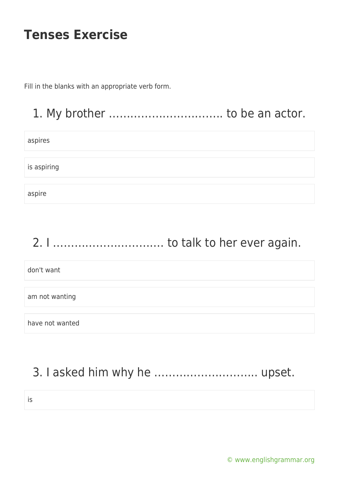Fill in the blanks with an appropriate verb form.

### 1. My brother .................................. to be an actor.

aspires

is aspiring

aspire

# 2. I …………………………. to talk to her ever again.

don't want

am not wanting

have not wanted

## 3. I asked him why he ……………………….. upset.

is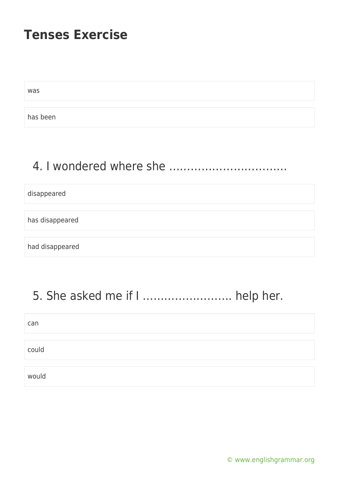was

has been

## 4. I wondered where she ……………………………

disappeared

has disappeared

had disappeared

# 5. She asked me if I ……………………. help her.

| can   |  |
|-------|--|
|       |  |
| could |  |
|       |  |
| would |  |

[© www.englishgrammar.org](https://www.englishgrammar.org/)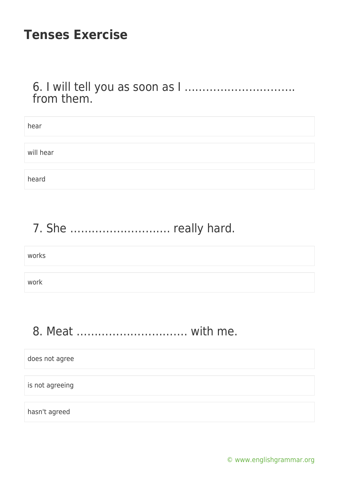#### 6. I will tell you as soon as I …………………………. from them.

| hear      |  |  |
|-----------|--|--|
|           |  |  |
| will hear |  |  |
|           |  |  |
| heard     |  |  |

# 7. She ………………………. really hard.

works

work

## 8. Meat …………………………. with me.

does not agree is not agreeing hasn't agreed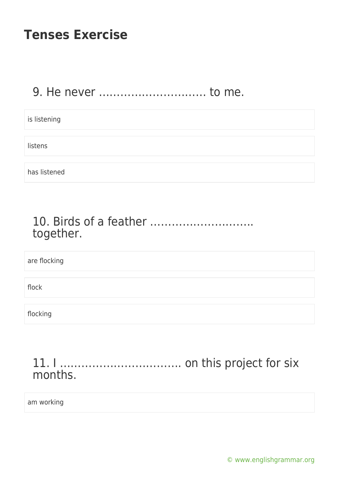#### 9. He never ………………………… to me.

| is listening |  |  |  |
|--------------|--|--|--|
|              |  |  |  |
| listens      |  |  |  |
|              |  |  |  |
| has listened |  |  |  |

#### 10. Birds of a feather ……………………….. together.

are flocking

flock

flocking

#### 11. I ……………………………. on this project for six months.

am working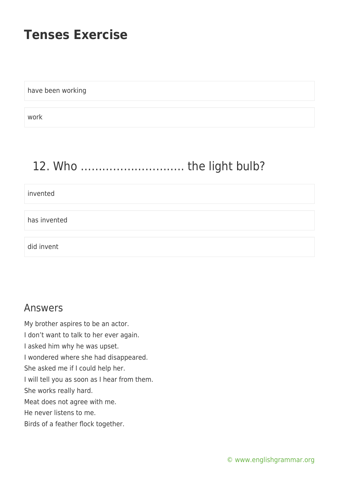have been working

work

# 12. Who ……………………….. the light bulb?

invented

has invented

did invent

#### Answers

My brother aspires to be an actor. I don't want to talk to her ever again. I asked him why he was upset. I wondered where she had disappeared. She asked me if I could help her. I will tell you as soon as I hear from them. She works really hard. Meat does not agree with me. He never listens to me. Birds of a feather flock together.